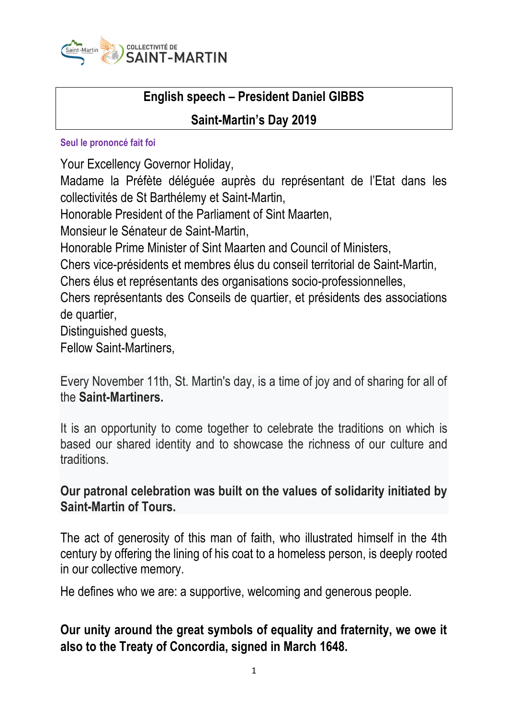

# **English speech – President Daniel GIBBS**

### **Saint-Martin's Day 2019**

#### **Seul le prononcé fait foi**

Your Excellency Governor Holiday,

Madame la Préfète déléguée auprès du représentant de l'Etat dans les collectivités de St Barthélemy et Saint-Martin,

Honorable President of the Parliament of Sint Maarten,

Monsieur le Sénateur de Saint-Martin,

Honorable Prime Minister of Sint Maarten and Council of Ministers,

Chers vice-présidents et membres élus du conseil territorial de Saint-Martin,

Chers élus et représentants des organisations socio-professionnelles,

Chers représentants des Conseils de quartier, et présidents des associations de quartier,

Distinguished guests,

Fellow Saint-Martiners,

Every November 11th, St. Martin's day, is a time of joy and of sharing for all of the **Saint-Martiners.**

It is an opportunity to come together to celebrate the traditions on which is based our shared identity and to showcase the richness of our culture and **traditions** 

#### **Our patronal celebration was built on the values of solidarity initiated by Saint-Martin of Tours.**

The act of generosity of this man of faith, who illustrated himself in the 4th century by offering the lining of his coat to a homeless person, is deeply rooted in our collective memory.

He defines who we are: a supportive, welcoming and generous people.

## **Our unity around the great symbols of equality and fraternity, we owe it also to the Treaty of Concordia, signed in March 1648.**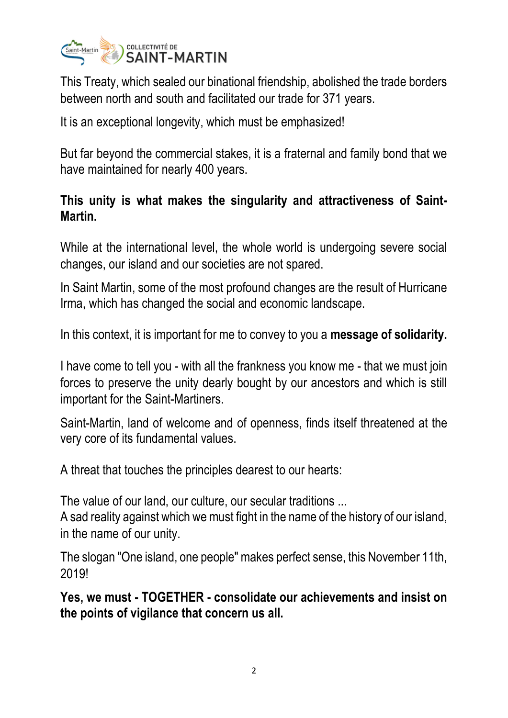

This Treaty, which sealed our binational friendship, abolished the trade borders between north and south and facilitated our trade for 371 years.

It is an exceptional longevity, which must be emphasized!

But far beyond the commercial stakes, it is a fraternal and family bond that we have maintained for nearly 400 years.

## **This unity is what makes the singularity and attractiveness of Saint-Martin.**

While at the international level, the whole world is undergoing severe social changes, our island and our societies are not spared.

In Saint Martin, some of the most profound changes are the result of Hurricane Irma, which has changed the social and economic landscape.

In this context, it is important for me to convey to you a **message of solidarity.**

I have come to tell you - with all the frankness you know me - that we must join forces to preserve the unity dearly bought by our ancestors and which is still important for the Saint-Martiners.

Saint-Martin, land of welcome and of openness, finds itself threatened at the very core of its fundamental values.

A threat that touches the principles dearest to our hearts:

The value of our land, our culture, our secular traditions ...

A sad reality against which we must fight in the name of the history of our island, in the name of our unity.

The slogan "One island, one people" makes perfect sense, this November 11th, 2019!

**Yes, we must - TOGETHER - consolidate our achievements and insist on the points of vigilance that concern us all.**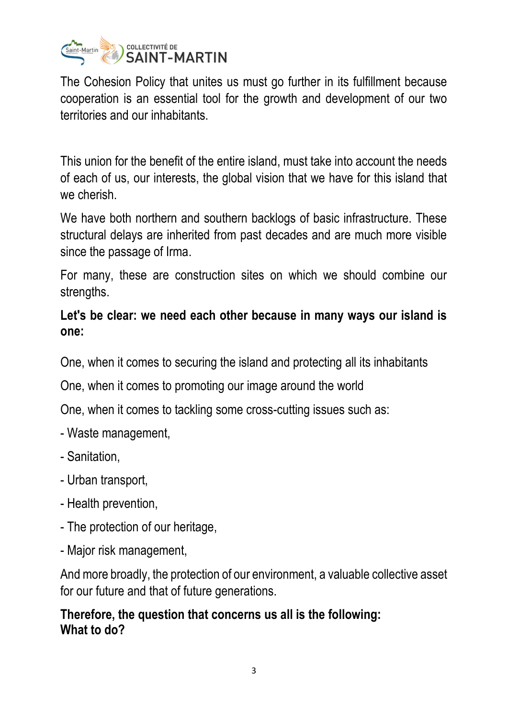

The Cohesion Policy that unites us must go further in its fulfillment because cooperation is an essential tool for the growth and development of our two territories and our inhabitants.

This union for the benefit of the entire island, must take into account the needs of each of us, our interests, the global vision that we have for this island that we cherish.

We have both northern and southern backlogs of basic infrastructure. These structural delays are inherited from past decades and are much more visible since the passage of Irma.

For many, these are construction sites on which we should combine our strengths.

## **Let's be clear: we need each other because in many ways our island is one:**

One, when it comes to securing the island and protecting all its inhabitants

One, when it comes to promoting our image around the world

One, when it comes to tackling some cross-cutting issues such as:

- Waste management,
- Sanitation,
- Urban transport,
- Health prevention,
- The protection of our heritage,
- Major risk management,

And more broadly, the protection of our environment, a valuable collective asset for our future and that of future generations.

## **Therefore, the question that concerns us all is the following: What to do?**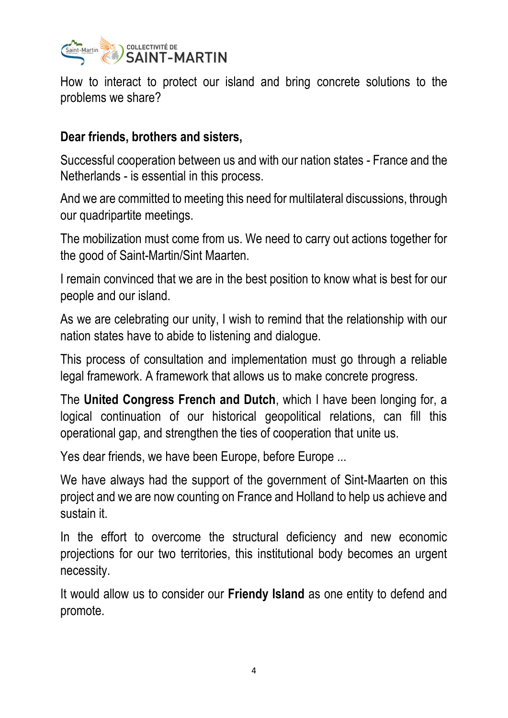

How to interact to protect our island and bring concrete solutions to the problems we share?

#### **Dear friends, brothers and sisters,**

Successful cooperation between us and with our nation states - France and the Netherlands - is essential in this process.

And we are committed to meeting this need for multilateral discussions, through our quadripartite meetings.

The mobilization must come from us. We need to carry out actions together for the good of Saint-Martin/Sint Maarten.

I remain convinced that we are in the best position to know what is best for our people and our island.

As we are celebrating our unity, I wish to remind that the relationship with our nation states have to abide to listening and dialogue.

This process of consultation and implementation must go through a reliable legal framework. A framework that allows us to make concrete progress.

The **United Congress French and Dutch**, which I have been longing for, a logical continuation of our historical geopolitical relations, can fill this operational gap, and strengthen the ties of cooperation that unite us.

Yes dear friends, we have been Europe, before Europe ...

We have always had the support of the government of Sint-Maarten on this project and we are now counting on France and Holland to help us achieve and sustain it.

In the effort to overcome the structural deficiency and new economic projections for our two territories, this institutional body becomes an urgent necessity.

It would allow us to consider our **Friendy Island** as one entity to defend and promote.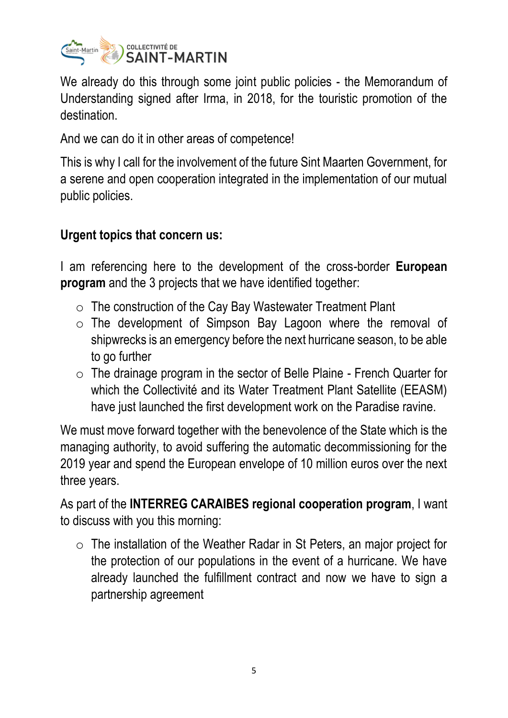

We already do this through some joint public policies - the Memorandum of Understanding signed after Irma, in 2018, for the touristic promotion of the destination.

And we can do it in other areas of competence!

This is why I call for the involvement of the future Sint Maarten Government, for a serene and open cooperation integrated in the implementation of our mutual public policies.

## **Urgent topics that concern us:**

I am referencing here to the development of the cross-border **European program** and the 3 projects that we have identified together:

- $\circ$  The construction of the Cay Bay Wastewater Treatment Plant
- $\circ$  The development of Simpson Bay Lagoon where the removal of shipwrecks is an emergency before the next hurricane season, to be able to go further
- o The drainage program in the sector of Belle Plaine French Quarter for which the Collectivité and its Water Treatment Plant Satellite (EEASM) have just launched the first development work on the Paradise ravine.

We must move forward together with the benevolence of the State which is the managing authority, to avoid suffering the automatic decommissioning for the 2019 year and spend the European envelope of 10 million euros over the next three years.

As part of the **INTERREG CARAIBES regional cooperation program**, I want to discuss with you this morning:

o The installation of the Weather Radar in St Peters, an major project for the protection of our populations in the event of a hurricane. We have already launched the fulfillment contract and now we have to sign a partnership agreement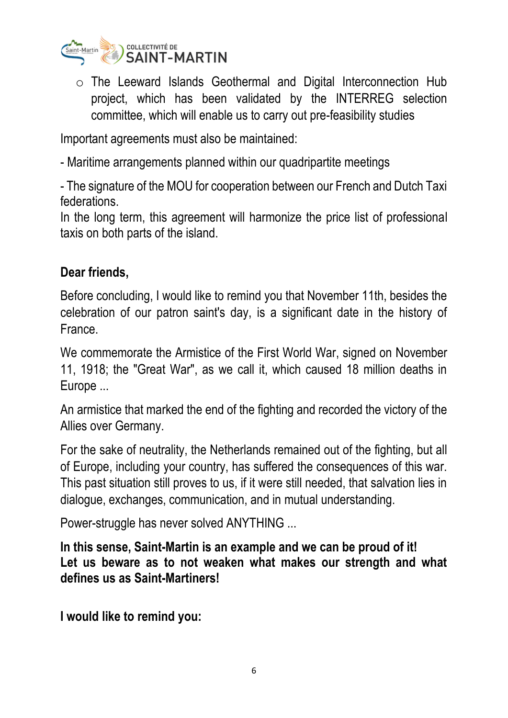

o The Leeward Islands Geothermal and Digital Interconnection Hub project, which has been validated by the INTERREG selection committee, which will enable us to carry out pre-feasibility studies

Important agreements must also be maintained:

- Maritime arrangements planned within our quadripartite meetings

- The signature of the MOU for cooperation between our French and Dutch Taxi federations.

In the long term, this agreement will harmonize the price list of professional taxis on both parts of the island.

#### **Dear friends,**

Before concluding, I would like to remind you that November 11th, besides the celebration of our patron saint's day, is a significant date in the history of France.

We commemorate the Armistice of the First World War, signed on November 11, 1918; the "Great War", as we call it, which caused 18 million deaths in Europe ...

An armistice that marked the end of the fighting and recorded the victory of the Allies over Germany.

For the sake of neutrality, the Netherlands remained out of the fighting, but all of Europe, including your country, has suffered the consequences of this war. This past situation still proves to us, if it were still needed, that salvation lies in dialogue, exchanges, communication, and in mutual understanding.

Power-struggle has never solved ANYTHING ...

**In this sense, Saint-Martin is an example and we can be proud of it! Let us beware as to not weaken what makes our strength and what defines us as Saint-Martiners!**

**I would like to remind you:**